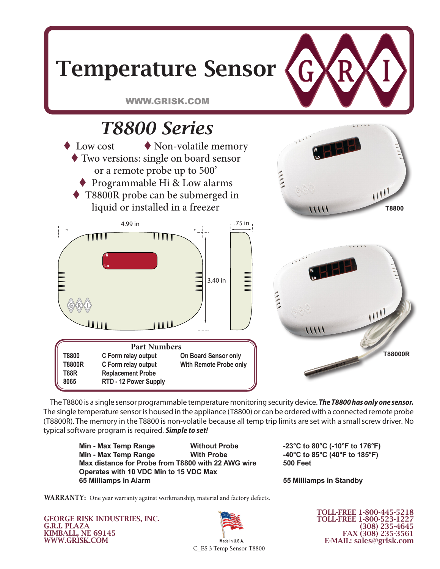

The T8800 is a single sensor programmable temperature monitoring security device. **The T8800 has only one sensor.** The single temperature sensor is housed in the appliance (T8800) or can be ordered with a connected remote probe (T8800R). The memory in the T8800 is non-volatile because all temp trip limits are set with a small screw driver. No typical software program is required. *Simple to set!*

**Min - Max Temp Range Without Probe -23°C to 80°C (-10°F to 176°F) Min - Max Temp Range With Probe -40°C to 85°C (40°F to 185°F)** Max distance for Probe from T8800 with 22 AWG wire **500 Feet Operates with 10 VDC Min to 15 VDC Max 65 Milliamps in Alarm 55 Milliamps in Standby**

500 Feet

**WARRANTY:** One year warranty against workmanship, material and factory defects.

GEORGE RISK INDUSTRIES, INC. G.R.I. PLAZA KIMBALL, NE 69145 WWW.GRISK.COM



TOLL-FREE 1-800-445-5218 TOLL-FREE 1-800-523-1227 (308) 235-4645 FAX (308) 235-3561 E-MAIL: sales@grisk.com